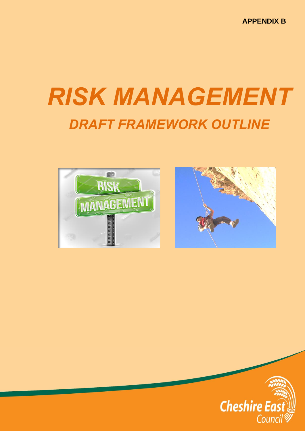**APPENDIX B**

# *RISK MANAGEMENT DRAFT FRAMEWORK OUTLINE*





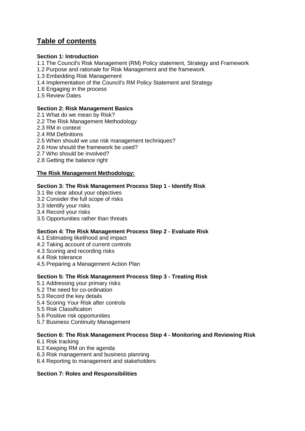# **Table of contents**

# **Section 1: Introduction**

- 1.1 The Council's Risk Management (RM) Policy statement, Strategy and Framework
- 1.2 Purpose and rationale for Risk Management and the framework
- 1.3 Embedding Risk Management
- 1.4 Implementation of the Council's RM Policy Statement and Strategy
- 1.6 Engaging in the process
- 1.5 Review Dates

# **Section 2: Risk Management Basics**

- 2.1 What do we mean by Risk?
- 2.2 The Risk Management Methodology
- 2.3 RM in context
- 2.4 RM Definitions
- 2.5 When should we use risk management techniques?
- 2.6 How should the framework be used?
- 2.7 Who should be involved?
- 2.8 Getting the balance right

# **The Risk Management Methodology:**

## **Section 3: The Risk Management Process Step 1 - Identify Risk**

- 3.1 Be clear about your objectives
- 3.2 Consider the full scope of risks
- 3.3 Identify your risks
- 3.4 Record your risks
- 3.5 Opportunities rather than threats

# **Section 4: The Risk Management Process Step 2 - Evaluate Risk**

- 4.1 Estimating likelihood and impact
- 4.2 Taking account of current controls
- 4.3 Scoring and recording risks
- 4.4 Risk tolerance
- 4.5 Preparing a Management Action Plan

## **Section 5: The Risk Management Process Step 3 - Treating Risk**

- 5.1 Addressing your primary risks
- 5.2 The need for co-ordination
- 5.3 Record the key details
- 5.4 Scoring Your Risk after controls
- 5.5 Risk Classification
- 5.6 Positive risk opportunities
- 5.7 Business Continuity Management

## **Section 6: The Risk Management Process Step 4 - Monitoring and Reviewing Risk**

- 6.1 Risk tracking
- 6.2 Keeping RM on the agenda
- 6.3 Risk management and business planning
- 6.4 Reporting to management and stakeholders

## **Section 7: Roles and Responsibilities**